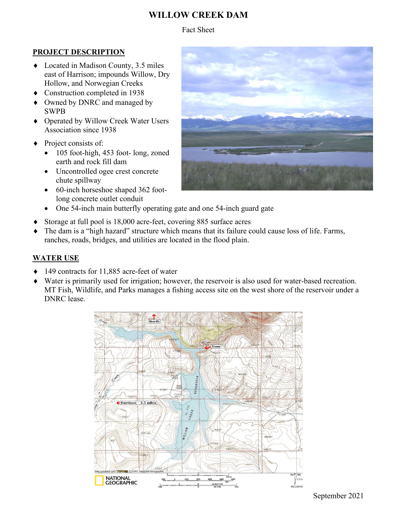# **WILLOW CREEK DAM**

Fact Sheet

### **PROJECT DESCRIPTION**

- ♦ Located in Madison County, 3.5 miles east of Harrison; impounds Willow, Dry Hollow, and Norwegian Creeks
- ♦ Construction completed in 1938
- Owned by DNRC and managed by SWPB
- ♦ Operated by Willow Creek Water Users Association since 1938
- ◆ Project consists of:
	- 105 foot-high, 453 foot- long, zoned earth and rock fill dam
	- Uncontrolled ogee crest concrete chute spillway
	- 60-inch horseshoe shaped 362 footlong concrete outlet conduit
	- One 54-inch main butterfly operating gate and one 54-inch guard gate
- ♦ Storage at full pool is 18,000 acre-feet, covering 885 surface acres
- ♦ The dam is a "high hazard" structure which means that its failure could cause loss of life. Farms, ranches, roads, bridges, and utilities are located in the flood plain.

## **WATER USE**

- ♦ 149 contracts for 11,885 acre-feet of water
- Water is primarily used for irrigation; however, the reservoir is also used for water-based recreation. MT Fish, Wildlife, and Parks manages a fishing access site on the west shore of the reservoir under a DNRC lease.